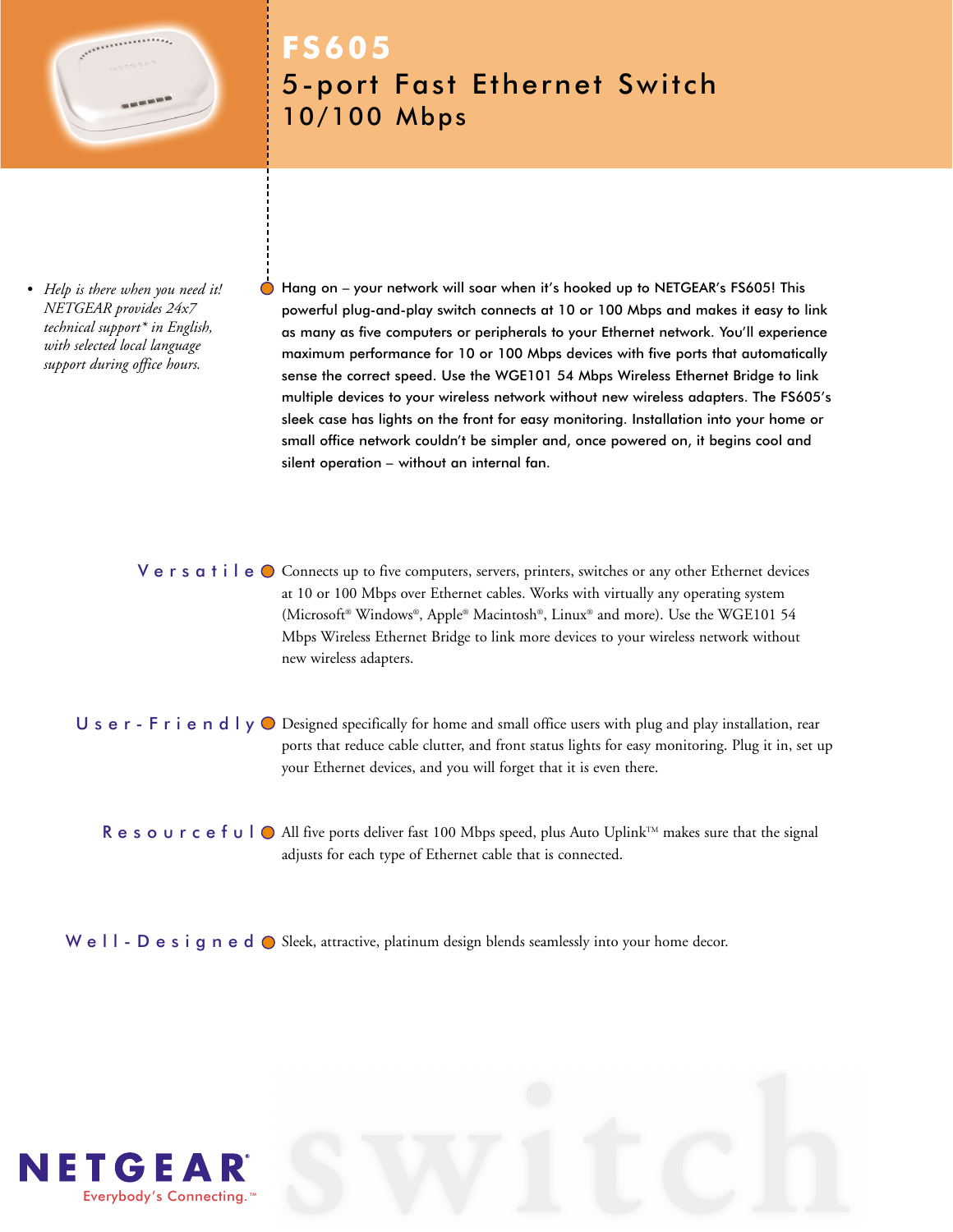

# **FS605** 5-port Fast Ethernet Switch 10/100 Mbps

*• Help is there when you need it! NETGEAR provides 24x7 technical support\* in English, with selected local language support during office hours.*

Hang on – your network will soar when it's hooked up to NETGEAR's FS605! This powerful plug-and-play switch connects at 10 or 100 Mbps and makes it easy to link as many as five computers or peripherals to your Ethernet network. You'll experience maximum performance for 10 or 100 Mbps devices with five ports that automatically sense the correct speed. Use the WGE101 54 Mbps Wireless Ethernet Bridge to link multiple devices to your wireless network without new wireless adapters. The FS605's sleek case has lights on the front for easy monitoring. Installation into your home or small office network couldn't be simpler and, once powered on, it begins cool and silent operation – without an internal fan.

Versatile O Connects up to five computers, servers, printers, switches or any other Ethernet devices at 10 or 100 Mbps over Ethernet cables. Works with virtually any operating system (Microsoft® Windows®, Apple® Macintosh®, Linux® and more). Use the WGE101 54 Mbps Wireless Ethernet Bridge to link more devices to your wireless network without new wireless adapters.

 $\sf U$  s  $\sf e$   $\sf r$  -  $\sf F$   $\sf r$  i  $\sf e$   $\sf n$   $\sf d$   $\sf l$   $\sf y$   $\sf O$  Designed specifically for home and small office users with plug and play installation, rear ports that reduce cable clutter, and front status lights for easy monitoring. Plug it in, set up your Ethernet devices, and you will forget that it is even there.

 $R$   $e$   $s$   $o$   $u$   $r$   $c$   $e$   $f$   $u$   $\Box$   $\Diamond$  All five ports deliver fast 100 Mbps speed, plus Auto Uplink™ makes sure that the signal adjusts for each type of Ethernet cable that is connected.

We  $\textsf{II}$  -  $\textsf{D}$  e  $\textsf{s}$  i  $\textsf{g}$  n e  $\textsf{d}$   $\textsf{O}$  Sleek, attractive, platinum design blends seamlessly into your home decor.